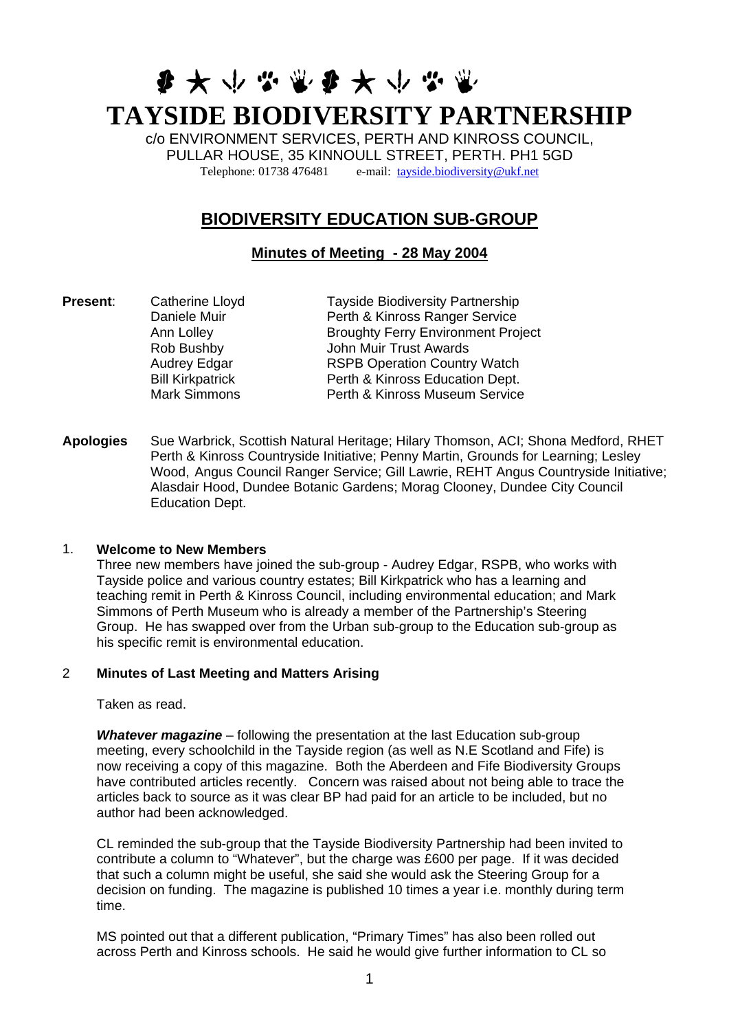# **多大小心需多大小心需 TAYSIDE BIODIVERSITY PARTNERSHIP**

c/o ENVIRONMENT SERVICES, PERTH AND KINROSS COUNCIL, PULLAR HOUSE, 35 KINNOULL STREET, PERTH. PH1 5GD Telephone: 01738 476481 e-mail: [tayside.biodiversity@ukf.net](mailto:tayside.biodiversity@ukf.net)

# **BIODIVERSITY EDUCATION SUB-GROUP**

# **Minutes of Meeting - 28 May 2004**

**Present:** Catherine Lloyd Tayside Biodiversity Partnership Daniele Muir Perth & Kinross Ranger Service Ann Lolley **Broughty Ferry Environment Project** Rob Bushby John Muir Trust Awards Audrey Edgar RSPB Operation Country Watch Bill Kirkpatrick Perth & Kinross Education Dept. Mark Simmons Perth & Kinross Museum Service

**Apologies** Sue Warbrick, Scottish Natural Heritage; Hilary Thomson, ACI; Shona Medford, RHET Perth & Kinross Countryside Initiative; Penny Martin, Grounds for Learning; Lesley Wood, Angus Council Ranger Service; Gill Lawrie, REHT Angus Countryside Initiative; Alasdair Hood, Dundee Botanic Gardens; Morag Clooney, Dundee City Council Education Dept.

# 1. **Welcome to New Members**

Three new members have joined the sub-group - Audrey Edgar, RSPB, who works with Tayside police and various country estates; Bill Kirkpatrick who has a learning and teaching remit in Perth & Kinross Council, including environmental education; and Mark Simmons of Perth Museum who is already a member of the Partnership's Steering Group. He has swapped over from the Urban sub-group to the Education sub-group as his specific remit is environmental education.

# 2 **Minutes of Last Meeting and Matters Arising**

Taken as read.

*Whatever magazine* – following the presentation at the last Education sub-group meeting, every schoolchild in the Tayside region (as well as N.E Scotland and Fife) is now receiving a copy of this magazine. Both the Aberdeen and Fife Biodiversity Groups have contributed articles recently. Concern was raised about not being able to trace the articles back to source as it was clear BP had paid for an article to be included, but no author had been acknowledged.

CL reminded the sub-group that the Tayside Biodiversity Partnership had been invited to contribute a column to "Whatever", but the charge was £600 per page. If it was decided that such a column might be useful, she said she would ask the Steering Group for a decision on funding. The magazine is published 10 times a year i.e. monthly during term time.

MS pointed out that a different publication, "Primary Times" has also been rolled out across Perth and Kinross schools. He said he would give further information to CL so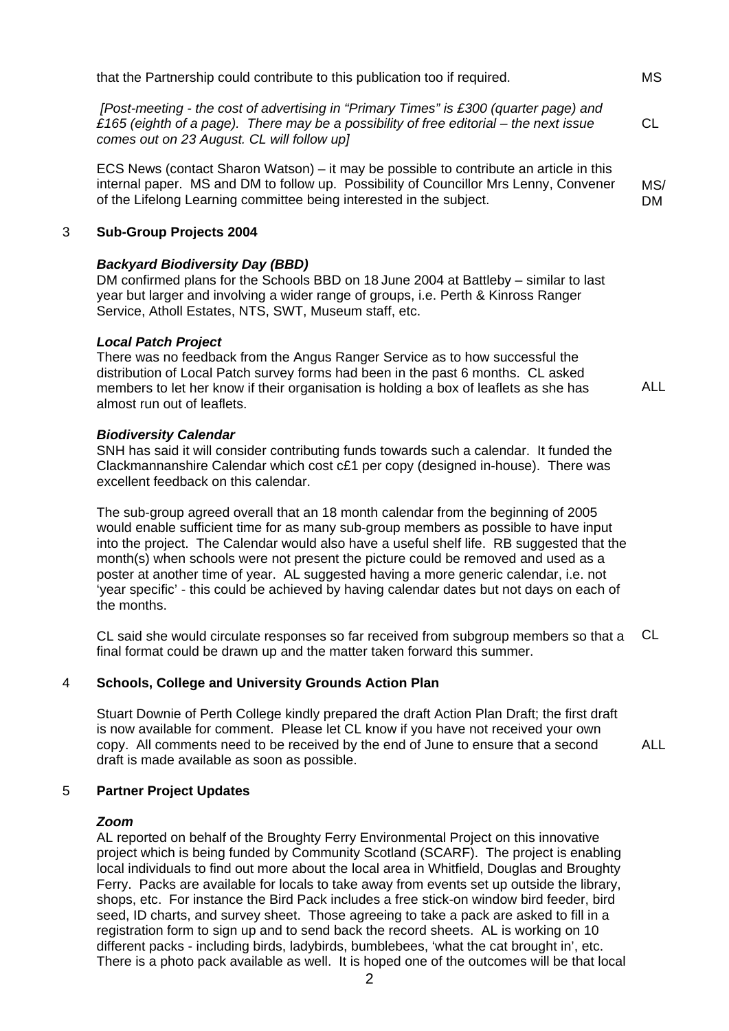*[Post-meeting - the cost of advertising in "Primary Times" is £300 (quarter page) and £165 (eighth of a page). There may be a possibility of free editorial – the next issue comes out on 23 August. CL will follow up]*

ECS News (contact Sharon Watson) – it may be possible to contribute an article in this internal paper. MS and DM to follow up. Possibility of Councillor Mrs Lenny, Convener of the Lifelong Learning committee being interested in the subject. MS/ DM

#### 3 **Sub-Group Projects 2004**

#### *Backyard Biodiversity Day (BBD)*

DM confirmed plans for the Schools BBD on 18 June 2004 at Battleby – similar to last year but larger and involving a wider range of groups, i.e. Perth & Kinross Ranger Service, Atholl Estates, NTS, SWT, Museum staff, etc.

#### *Local Patch Project*

There was no feedback from the Angus Ranger Service as to how successful the distribution of Local Patch survey forms had been in the past 6 months. CL asked members to let her know if their organisation is holding a box of leaflets as she has almost run out of leaflets.

#### *Biodiversity Calendar*

SNH has said it will consider contributing funds towards such a calendar. It funded the Clackmannanshire Calendar which cost c£1 per copy (designed in-house). There was excellent feedback on this calendar.

The sub-group agreed overall that an 18 month calendar from the beginning of 2005 would enable sufficient time for as many sub-group members as possible to have input into the project. The Calendar would also have a useful shelf life. RB suggested that the month(s) when schools were not present the picture could be removed and used as a poster at another time of year. AL suggested having a more generic calendar, i.e. not 'year specific' - this could be achieved by having calendar dates but not days on each of the months.

CL said she would circulate responses so far received from subgroup members so that a final format could be drawn up and the matter taken forward this summer. CL

#### 4 **Schools, College and University Grounds Action Plan**

Stuart Downie of Perth College kindly prepared the draft Action Plan Draft; the first draft is now available for comment. Please let CL know if you have not received your own copy. All comments need to be received by the end of June to ensure that a second draft is made available as soon as possible.

#### ALL

#### 5 **Partner Project Updates**

#### *Zoom*

AL reported on behalf of the Broughty Ferry Environmental Project on this innovative project which is being funded by Community Scotland (SCARF). The project is enabling local individuals to find out more about the local area in Whitfield, Douglas and Broughty Ferry. Packs are available for locals to take away from events set up outside the library, shops, etc. For instance the Bird Pack includes a free stick-on window bird feeder, bird seed, ID charts, and survey sheet. Those agreeing to take a pack are asked to fill in a registration form to sign up and to send back the record sheets. AL is working on 10 different packs - including birds, ladybirds, bumblebees, 'what the cat brought in', etc. There is a photo pack available as well. It is hoped one of the outcomes will be that local

ALL

MS

CL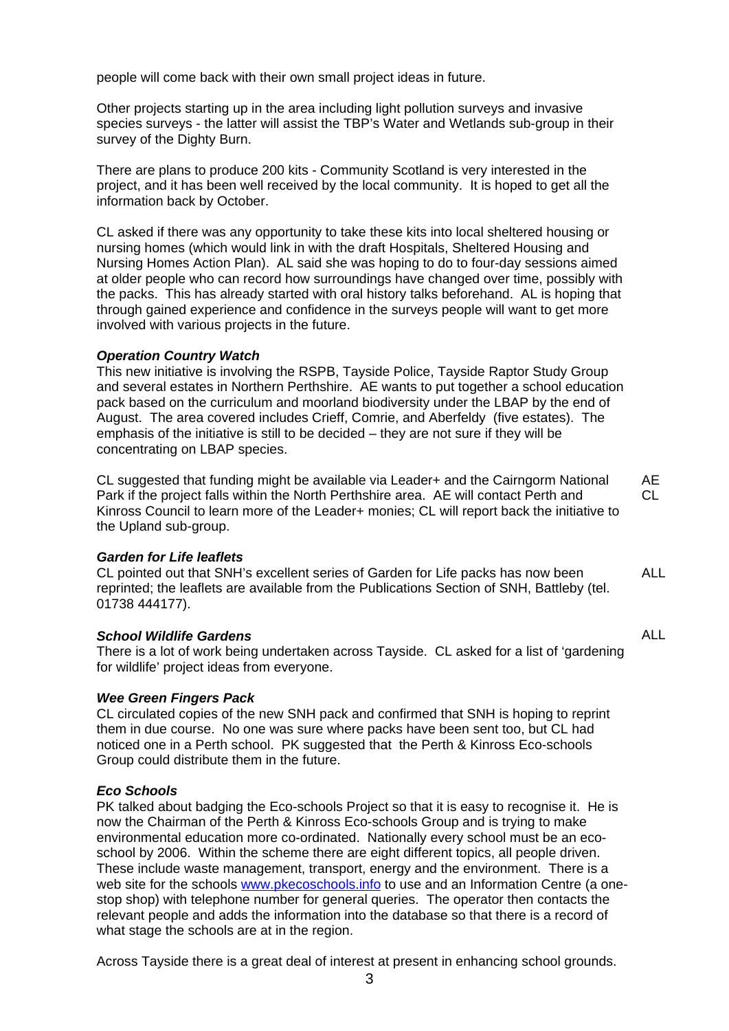people will come back with their own small project ideas in future.

Other projects starting up in the area including light pollution surveys and invasive species surveys - the latter will assist the TBP's Water and Wetlands sub-group in their survey of the Dighty Burn.

There are plans to produce 200 kits - Community Scotland is very interested in the project, and it has been well received by the local community. It is hoped to get all the information back by October.

CL asked if there was any opportunity to take these kits into local sheltered housing or nursing homes (which would link in with the draft Hospitals, Sheltered Housing and Nursing Homes Action Plan). AL said she was hoping to do to four-day sessions aimed at older people who can record how surroundings have changed over time, possibly with the packs. This has already started with oral history talks beforehand. AL is hoping that through gained experience and confidence in the surveys people will want to get more involved with various projects in the future.

# *Operation Country Watch*

This new initiative is involving the RSPB, Tayside Police, Tayside Raptor Study Group and several estates in Northern Perthshire. AE wants to put together a school education pack based on the curriculum and moorland biodiversity under the LBAP by the end of August. The area covered includes Crieff, Comrie, and Aberfeldy (five estates). The emphasis of the initiative is still to be decided – they are not sure if they will be concentrating on LBAP species.

CL suggested that funding might be available via Leader+ and the Cairngorm National Park if the project falls within the North Perthshire area. AE will contact Perth and Kinross Council to learn more of the Leader+ monies; CL will report back the initiative to the Upland sub-group. AE CL

#### *Garden for Life leaflets*

CL pointed out that SNH's excellent series of Garden for Life packs has now been reprinted; the leaflets are available from the Publications Section of SNH, Battleby (tel. 01738 444177). ALL

ALL

#### *School Wildlife Gardens*

There is a lot of work being undertaken across Tayside. CL asked for a list of 'gardening for wildlife' project ideas from everyone.

#### *Wee Green Fingers Pack*

CL circulated copies of the new SNH pack and confirmed that SNH is hoping to reprint them in due course. No one was sure where packs have been sent too, but CL had noticed one in a Perth school. PK suggested that the Perth & Kinross Eco-schools Group could distribute them in the future.

# *Eco Schools*

PK talked about badging the Eco-schools Project so that it is easy to recognise it. He is now the Chairman of the Perth & Kinross Eco-schools Group and is trying to make environmental education more co-ordinated. Nationally every school must be an ecoschool by 2006. Within the scheme there are eight different topics, all people driven. These include waste management, transport, energy and the environment. There is a web site for the schools [www.pkecoschools.info](http://www.pkecoschools.info/) to use and an Information Centre (a onestop shop) with telephone number for general queries. The operator then contacts the relevant people and adds the information into the database so that there is a record of what stage the schools are at in the region.

Across Tayside there is a great deal of interest at present in enhancing school grounds.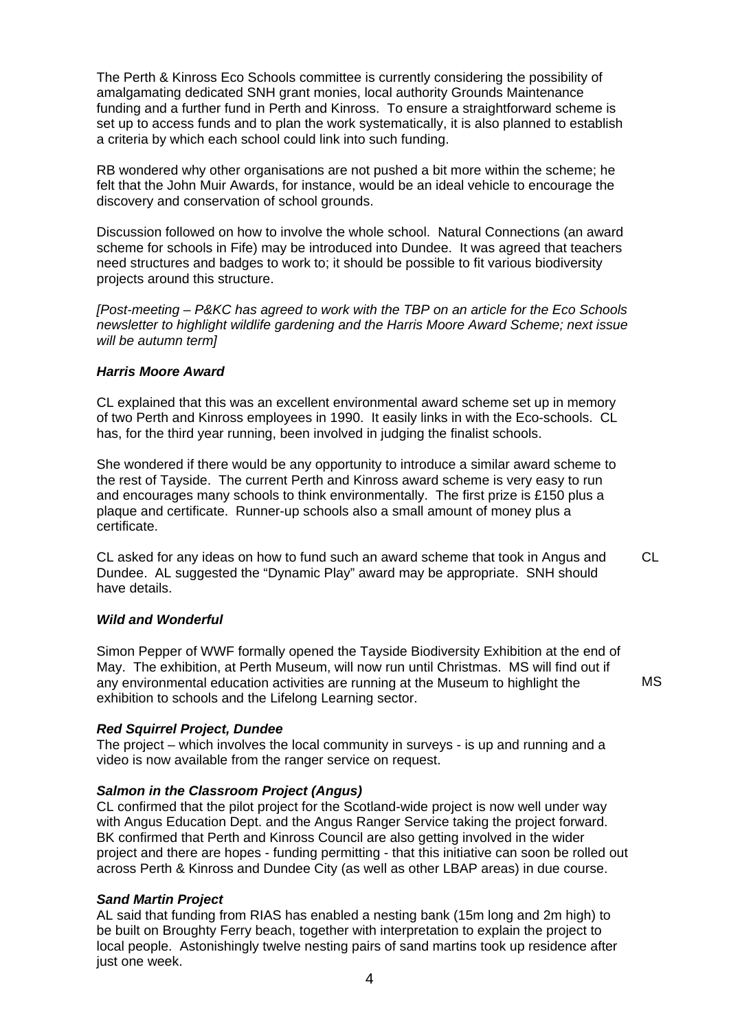The Perth & Kinross Eco Schools committee is currently considering the possibility of amalgamating dedicated SNH grant monies, local authority Grounds Maintenance funding and a further fund in Perth and Kinross. To ensure a straightforward scheme is set up to access funds and to plan the work systematically, it is also planned to establish a criteria by which each school could link into such funding.

RB wondered why other organisations are not pushed a bit more within the scheme; he felt that the John Muir Awards, for instance, would be an ideal vehicle to encourage the discovery and conservation of school grounds.

Discussion followed on how to involve the whole school. Natural Connections (an award scheme for schools in Fife) may be introduced into Dundee. It was agreed that teachers need structures and badges to work to; it should be possible to fit various biodiversity projects around this structure.

*[Post-meeting – P&KC has agreed to work with the TBP on an article for the Eco Schools newsletter to highlight wildlife gardening and the Harris Moore Award Scheme; next issue will be autumn term]* 

#### *Harris Moore Award*

CL explained that this was an excellent environmental award scheme set up in memory of two Perth and Kinross employees in 1990. It easily links in with the Eco-schools. CL has, for the third year running, been involved in judging the finalist schools.

She wondered if there would be any opportunity to introduce a similar award scheme to the rest of Tayside. The current Perth and Kinross award scheme is very easy to run and encourages many schools to think environmentally. The first prize is £150 plus a plaque and certificate. Runner-up schools also a small amount of money plus a certificate.

CL asked for any ideas on how to fund such an award scheme that took in Angus and Dundee. AL suggested the "Dynamic Play" award may be appropriate. SNH should have details. CL

#### *Wild and Wonderful*

Simon Pepper of WWF formally opened the Tayside Biodiversity Exhibition at the end of May. The exhibition, at Perth Museum, will now run until Christmas. MS will find out if any environmental education activities are running at the Museum to highlight the exhibition to schools and the Lifelong Learning sector.

MS

# *Red Squirrel Project, Dundee*

The project – which involves the local community in surveys - is up and running and a video is now available from the ranger service on request.

#### *Salmon in the Classroom Project (Angus)*

CL confirmed that the pilot project for the Scotland-wide project is now well under way with Angus Education Dept. and the Angus Ranger Service taking the project forward. BK confirmed that Perth and Kinross Council are also getting involved in the wider project and there are hopes - funding permitting - that this initiative can soon be rolled out across Perth & Kinross and Dundee City (as well as other LBAP areas) in due course.

# *Sand Martin Project*

AL said that funding from RIAS has enabled a nesting bank (15m long and 2m high) to be built on Broughty Ferry beach, together with interpretation to explain the project to local people. Astonishingly twelve nesting pairs of sand martins took up residence after just one week.